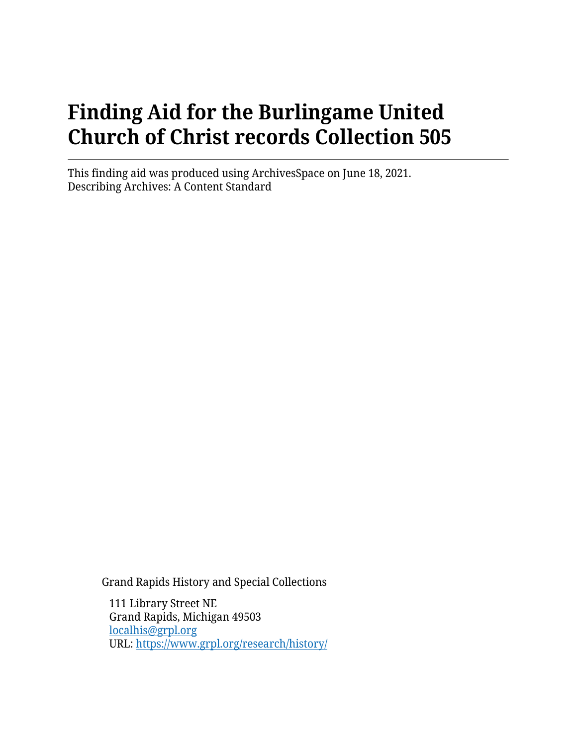# **Finding Aid for the Burlingame United Church of Christ records Collection 505**

This finding aid was produced using ArchivesSpace on June 18, 2021. Describing Archives: A Content Standard

Grand Rapids History and Special Collections

111 Library Street NE Grand Rapids, Michigan 49503 [localhis@grpl.org](mailto:localhis@grpl.org) URL:<https://www.grpl.org/research/history/>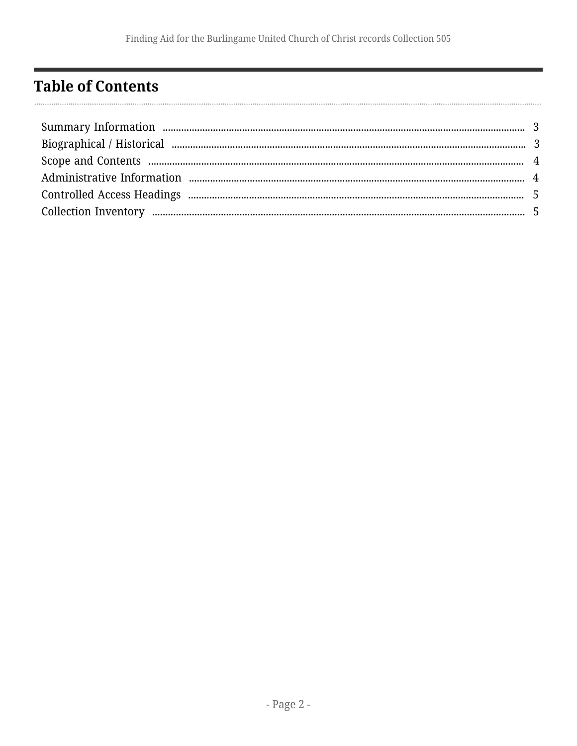# <span id="page-1-0"></span>**Table of Contents**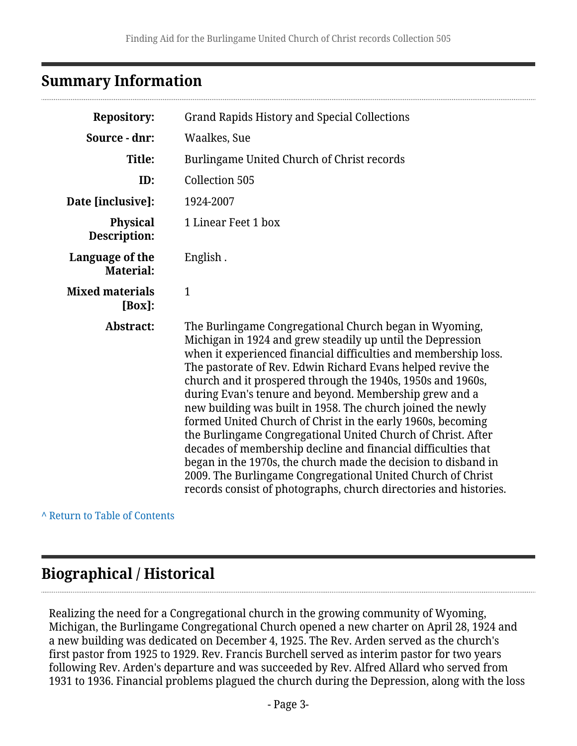### <span id="page-2-0"></span>**Summary Information**

| <b>Repository:</b>                  | <b>Grand Rapids History and Special Collections</b>                                                                                                                                                                                                                                                                                                                                                                                                                                                                                                                                                                                                                                                                                                                                                                                                  |  |
|-------------------------------------|------------------------------------------------------------------------------------------------------------------------------------------------------------------------------------------------------------------------------------------------------------------------------------------------------------------------------------------------------------------------------------------------------------------------------------------------------------------------------------------------------------------------------------------------------------------------------------------------------------------------------------------------------------------------------------------------------------------------------------------------------------------------------------------------------------------------------------------------------|--|
| Source - dnr:                       | Waalkes, Sue                                                                                                                                                                                                                                                                                                                                                                                                                                                                                                                                                                                                                                                                                                                                                                                                                                         |  |
| Title:                              | Burlingame United Church of Christ records                                                                                                                                                                                                                                                                                                                                                                                                                                                                                                                                                                                                                                                                                                                                                                                                           |  |
| ID:                                 | Collection 505                                                                                                                                                                                                                                                                                                                                                                                                                                                                                                                                                                                                                                                                                                                                                                                                                                       |  |
| Date [inclusive]:                   | 1924-2007                                                                                                                                                                                                                                                                                                                                                                                                                                                                                                                                                                                                                                                                                                                                                                                                                                            |  |
| <b>Physical</b><br>Description:     | 1 Linear Feet 1 box                                                                                                                                                                                                                                                                                                                                                                                                                                                                                                                                                                                                                                                                                                                                                                                                                                  |  |
| Language of the<br><b>Material:</b> | English.                                                                                                                                                                                                                                                                                                                                                                                                                                                                                                                                                                                                                                                                                                                                                                                                                                             |  |
| <b>Mixed materials</b><br>$[Box]$ : | $\mathbf{1}$                                                                                                                                                                                                                                                                                                                                                                                                                                                                                                                                                                                                                                                                                                                                                                                                                                         |  |
| Abstract:                           | The Burlingame Congregational Church began in Wyoming,<br>Michigan in 1924 and grew steadily up until the Depression<br>when it experienced financial difficulties and membership loss.<br>The pastorate of Rev. Edwin Richard Evans helped revive the<br>church and it prospered through the 1940s, 1950s and 1960s,<br>during Evan's tenure and beyond. Membership grew and a<br>new building was built in 1958. The church joined the newly<br>formed United Church of Christ in the early 1960s, becoming<br>the Burlingame Congregational United Church of Christ. After<br>decades of membership decline and financial difficulties that<br>began in the 1970s, the church made the decision to disband in<br>2009. The Burlingame Congregational United Church of Christ<br>records consist of photographs, church directories and histories. |  |

**^** [Return to Table of Contents](#page-1-0)

# <span id="page-2-1"></span>**Biographical / Historical**

Realizing the need for a Congregational church in the growing community of Wyoming, Michigan, the Burlingame Congregational Church opened a new charter on April 28, 1924 and a new building was dedicated on December 4, 1925. The Rev. Arden served as the church's first pastor from 1925 to 1929. Rev. Francis Burchell served as interim pastor for two years following Rev. Arden's departure and was succeeded by Rev. Alfred Allard who served from 1931 to 1936. Financial problems plagued the church during the Depression, along with the loss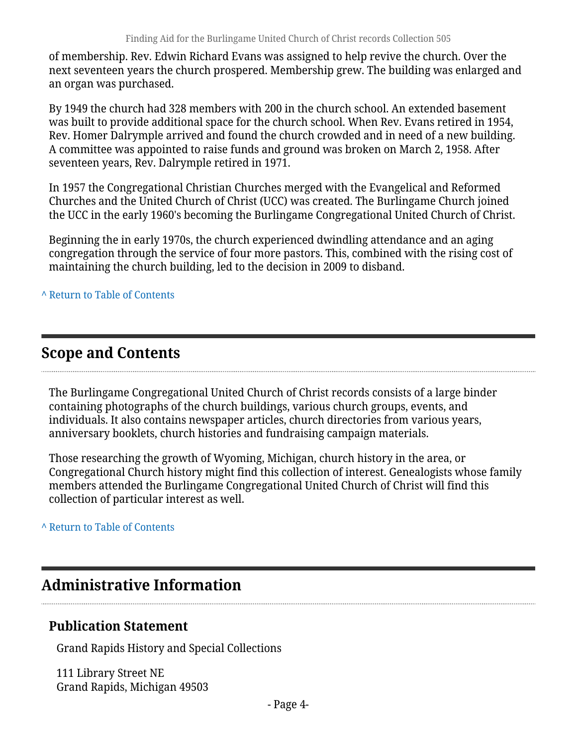of membership. Rev. Edwin Richard Evans was assigned to help revive the church. Over the next seventeen years the church prospered. Membership grew. The building was enlarged and an organ was purchased.

By 1949 the church had 328 members with 200 in the church school. An extended basement was built to provide additional space for the church school. When Rev. Evans retired in 1954, Rev. Homer Dalrymple arrived and found the church crowded and in need of a new building. A committee was appointed to raise funds and ground was broken on March 2, 1958. After seventeen years, Rev. Dalrymple retired in 1971.

In 1957 the Congregational Christian Churches merged with the Evangelical and Reformed Churches and the United Church of Christ (UCC) was created. The Burlingame Church joined the UCC in the early 1960's becoming the Burlingame Congregational United Church of Christ.

Beginning the in early 1970s, the church experienced dwindling attendance and an aging congregation through the service of four more pastors. This, combined with the rising cost of maintaining the church building, led to the decision in 2009 to disband.

**^** [Return to Table of Contents](#page-1-0)

# <span id="page-3-0"></span>**Scope and Contents**

The Burlingame Congregational United Church of Christ records consists of a large binder containing photographs of the church buildings, various church groups, events, and individuals. It also contains newspaper articles, church directories from various years, anniversary booklets, church histories and fundraising campaign materials.

Those researching the growth of Wyoming, Michigan, church history in the area, or Congregational Church history might find this collection of interest. Genealogists whose family members attended the Burlingame Congregational United Church of Christ will find this collection of particular interest as well.

#### **^** [Return to Table of Contents](#page-1-0)

#### <span id="page-3-1"></span>**Administrative Information**

#### **Publication Statement**

Grand Rapids History and Special Collections

111 Library Street NE Grand Rapids, Michigan 49503